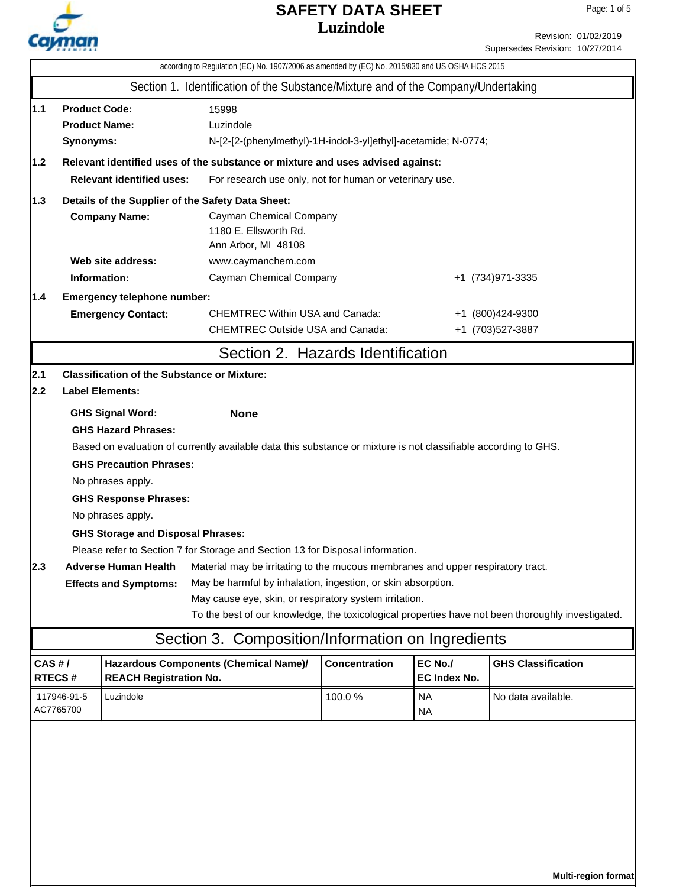

Revision: 01/02/2019 Supersedes Revision: 10/27/2014

|                                                                                             | according to Regulation (EC) No. 1907/2006 as amended by (EC) No. 2015/830 and US OSHA HCS 2015                                                   |                                                                        |                                                                                                                                                 |                                         |                         |                                                                                                   |  |  |
|---------------------------------------------------------------------------------------------|---------------------------------------------------------------------------------------------------------------------------------------------------|------------------------------------------------------------------------|-------------------------------------------------------------------------------------------------------------------------------------------------|-----------------------------------------|-------------------------|---------------------------------------------------------------------------------------------------|--|--|
|                                                                                             | Section 1. Identification of the Substance/Mixture and of the Company/Undertaking                                                                 |                                                                        |                                                                                                                                                 |                                         |                         |                                                                                                   |  |  |
| 1.1                                                                                         | <b>Product Code:</b><br>15998<br><b>Product Name:</b><br>Luzindole<br>Synonyms:<br>N-[2-[2-(phenylmethyl)-1H-indol-3-yl]ethyl]-acetamide; N-0774; |                                                                        |                                                                                                                                                 |                                         |                         |                                                                                                   |  |  |
| 1.2                                                                                         | Relevant identified uses of the substance or mixture and uses advised against:                                                                    |                                                                        |                                                                                                                                                 |                                         |                         |                                                                                                   |  |  |
| <b>Relevant identified uses:</b><br>For research use only, not for human or veterinary use. |                                                                                                                                                   |                                                                        |                                                                                                                                                 |                                         |                         |                                                                                                   |  |  |
| 1.3                                                                                         |                                                                                                                                                   | Details of the Supplier of the Safety Data Sheet:                      |                                                                                                                                                 |                                         |                         |                                                                                                   |  |  |
|                                                                                             |                                                                                                                                                   | <b>Company Name:</b>                                                   | Cayman Chemical Company<br>1180 E. Ellsworth Rd.<br>Ann Arbor, MI 48108                                                                         |                                         |                         |                                                                                                   |  |  |
|                                                                                             |                                                                                                                                                   | Web site address:                                                      | www.caymanchem.com                                                                                                                              |                                         |                         |                                                                                                   |  |  |
|                                                                                             | Information:                                                                                                                                      |                                                                        | Cayman Chemical Company                                                                                                                         |                                         |                         | +1 (734) 971-3335                                                                                 |  |  |
| 1.4                                                                                         |                                                                                                                                                   | Emergency telephone number:                                            |                                                                                                                                                 |                                         |                         |                                                                                                   |  |  |
|                                                                                             |                                                                                                                                                   | <b>Emergency Contact:</b>                                              | <b>CHEMTREC Within USA and Canada:</b>                                                                                                          |                                         |                         | +1 (800)424-9300                                                                                  |  |  |
|                                                                                             |                                                                                                                                                   |                                                                        |                                                                                                                                                 | <b>CHEMTREC Outside USA and Canada:</b> |                         | +1 (703) 527-3887                                                                                 |  |  |
|                                                                                             |                                                                                                                                                   |                                                                        | Section 2. Hazards Identification                                                                                                               |                                         |                         |                                                                                                   |  |  |
| 2.1                                                                                         |                                                                                                                                                   | <b>Classification of the Substance or Mixture:</b>                     |                                                                                                                                                 |                                         |                         |                                                                                                   |  |  |
| 2.2                                                                                         |                                                                                                                                                   | <b>Label Elements:</b>                                                 |                                                                                                                                                 |                                         |                         |                                                                                                   |  |  |
|                                                                                             |                                                                                                                                                   | <b>GHS Signal Word:</b>                                                | <b>None</b>                                                                                                                                     |                                         |                         |                                                                                                   |  |  |
|                                                                                             |                                                                                                                                                   | <b>GHS Hazard Phrases:</b>                                             |                                                                                                                                                 |                                         |                         |                                                                                                   |  |  |
|                                                                                             |                                                                                                                                                   |                                                                        | Based on evaluation of currently available data this substance or mixture is not classifiable according to GHS.                                 |                                         |                         |                                                                                                   |  |  |
|                                                                                             |                                                                                                                                                   | <b>GHS Precaution Phrases:</b>                                         |                                                                                                                                                 |                                         |                         |                                                                                                   |  |  |
| No phrases apply.                                                                           |                                                                                                                                                   |                                                                        |                                                                                                                                                 |                                         |                         |                                                                                                   |  |  |
|                                                                                             |                                                                                                                                                   | <b>GHS Response Phrases:</b>                                           |                                                                                                                                                 |                                         |                         |                                                                                                   |  |  |
|                                                                                             |                                                                                                                                                   | No phrases apply.                                                      |                                                                                                                                                 |                                         |                         |                                                                                                   |  |  |
|                                                                                             |                                                                                                                                                   | <b>GHS Storage and Disposal Phrases:</b>                               |                                                                                                                                                 |                                         |                         |                                                                                                   |  |  |
|                                                                                             |                                                                                                                                                   |                                                                        | Please refer to Section 7 for Storage and Section 13 for Disposal information.                                                                  |                                         |                         |                                                                                                   |  |  |
| 2.3                                                                                         |                                                                                                                                                   | <b>Adverse Human Health</b>                                            | Material may be irritating to the mucous membranes and upper respiratory tract.<br>May be harmful by inhalation, ingestion, or skin absorption. |                                         |                         |                                                                                                   |  |  |
|                                                                                             |                                                                                                                                                   | <b>Effects and Symptoms:</b>                                           | May cause eye, skin, or respiratory system irritation.                                                                                          |                                         |                         |                                                                                                   |  |  |
|                                                                                             |                                                                                                                                                   |                                                                        |                                                                                                                                                 |                                         |                         | To the best of our knowledge, the toxicological properties have not been thoroughly investigated. |  |  |
|                                                                                             |                                                                                                                                                   |                                                                        | Section 3. Composition/Information on Ingredients                                                                                               |                                         |                         |                                                                                                   |  |  |
| CAS#/<br>RTECS#                                                                             |                                                                                                                                                   | Hazardous Components (Chemical Name)/<br><b>REACH Registration No.</b> |                                                                                                                                                 | <b>Concentration</b>                    | EC No./<br>EC Index No. | <b>GHS Classification</b>                                                                         |  |  |
|                                                                                             | 117946-91-5<br>AC7765700                                                                                                                          | Luzindole                                                              |                                                                                                                                                 | 100.0%                                  | <b>NA</b><br><b>NA</b>  | No data available.                                                                                |  |  |
|                                                                                             |                                                                                                                                                   |                                                                        |                                                                                                                                                 |                                         |                         |                                                                                                   |  |  |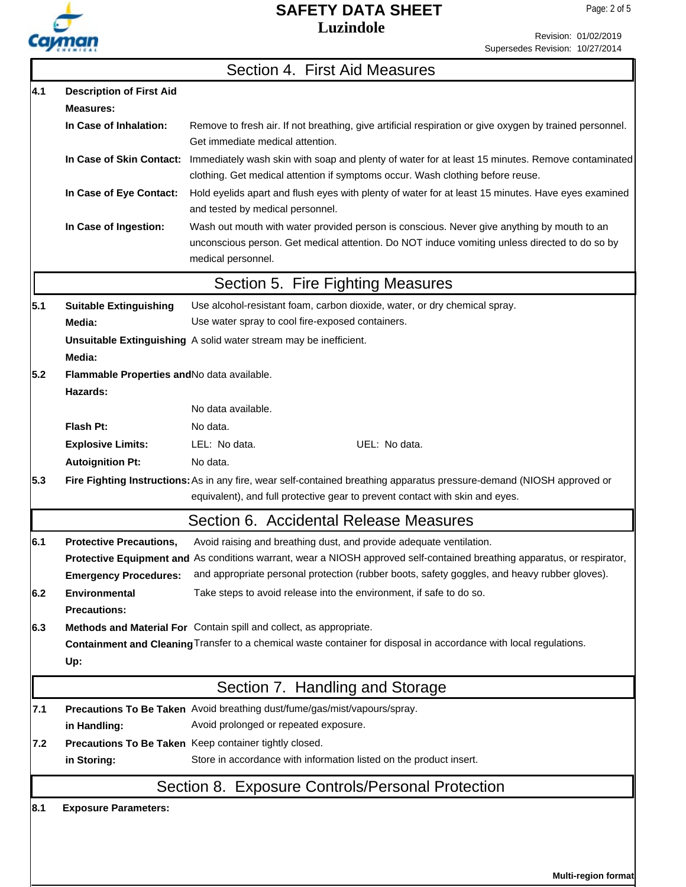

Revision: 01/02/2019 Supersedes Revision: 10/27/2014

|     |                                                                                                                    | Section 4. First Aid Measures                                                                                                                                                                                                                                                                                                |  |  |  |  |
|-----|--------------------------------------------------------------------------------------------------------------------|------------------------------------------------------------------------------------------------------------------------------------------------------------------------------------------------------------------------------------------------------------------------------------------------------------------------------|--|--|--|--|
| 4.1 | <b>Description of First Aid</b>                                                                                    |                                                                                                                                                                                                                                                                                                                              |  |  |  |  |
|     | <b>Measures:</b>                                                                                                   |                                                                                                                                                                                                                                                                                                                              |  |  |  |  |
|     | In Case of Inhalation:                                                                                             | Remove to fresh air. If not breathing, give artificial respiration or give oxygen by trained personnel.<br>Get immediate medical attention.                                                                                                                                                                                  |  |  |  |  |
|     | In Case of Skin Contact:                                                                                           | Immediately wash skin with soap and plenty of water for at least 15 minutes. Remove contaminated<br>clothing. Get medical attention if symptoms occur. Wash clothing before reuse.<br>Hold eyelids apart and flush eyes with plenty of water for at least 15 minutes. Have eyes examined<br>and tested by medical personnel. |  |  |  |  |
|     | In Case of Eye Contact:                                                                                            |                                                                                                                                                                                                                                                                                                                              |  |  |  |  |
|     | In Case of Ingestion:                                                                                              | Wash out mouth with water provided person is conscious. Never give anything by mouth to an<br>unconscious person. Get medical attention. Do NOT induce vomiting unless directed to do so by<br>medical personnel.                                                                                                            |  |  |  |  |
|     |                                                                                                                    | Section 5. Fire Fighting Measures                                                                                                                                                                                                                                                                                            |  |  |  |  |
| 5.1 | <b>Suitable Extinguishing</b>                                                                                      | Use alcohol-resistant foam, carbon dioxide, water, or dry chemical spray.                                                                                                                                                                                                                                                    |  |  |  |  |
|     | Media:                                                                                                             | Use water spray to cool fire-exposed containers.                                                                                                                                                                                                                                                                             |  |  |  |  |
|     |                                                                                                                    | Unsuitable Extinguishing A solid water stream may be inefficient.                                                                                                                                                                                                                                                            |  |  |  |  |
|     | Media:                                                                                                             |                                                                                                                                                                                                                                                                                                                              |  |  |  |  |
| 5.2 | Flammable Properties and No data available.                                                                        |                                                                                                                                                                                                                                                                                                                              |  |  |  |  |
|     | Hazards:                                                                                                           | No data available.                                                                                                                                                                                                                                                                                                           |  |  |  |  |
|     | Flash Pt:                                                                                                          | No data.                                                                                                                                                                                                                                                                                                                     |  |  |  |  |
|     |                                                                                                                    | LEL: No data.<br>UEL: No data.                                                                                                                                                                                                                                                                                               |  |  |  |  |
|     | <b>Explosive Limits:</b><br><b>Autoignition Pt:</b>                                                                | No data.                                                                                                                                                                                                                                                                                                                     |  |  |  |  |
| 5.3 |                                                                                                                    | Fire Fighting Instructions: As in any fire, wear self-contained breathing apparatus pressure-demand (NIOSH approved or                                                                                                                                                                                                       |  |  |  |  |
|     |                                                                                                                    | equivalent), and full protective gear to prevent contact with skin and eyes.                                                                                                                                                                                                                                                 |  |  |  |  |
|     |                                                                                                                    | Section 6. Accidental Release Measures                                                                                                                                                                                                                                                                                       |  |  |  |  |
| 6.1 | <b>Protective Precautions,</b>                                                                                     | Avoid raising and breathing dust, and provide adequate ventilation.                                                                                                                                                                                                                                                          |  |  |  |  |
|     |                                                                                                                    | Protective Equipment and As conditions warrant, wear a NIOSH approved self-contained breathing apparatus, or respirator,                                                                                                                                                                                                     |  |  |  |  |
|     | <b>Emergency Procedures:</b>                                                                                       | and appropriate personal protection (rubber boots, safety goggles, and heavy rubber gloves).                                                                                                                                                                                                                                 |  |  |  |  |
| 6.2 | <b>Environmental</b><br><b>Precautions:</b>                                                                        | Take steps to avoid release into the environment, if safe to do so.                                                                                                                                                                                                                                                          |  |  |  |  |
| 6.3 |                                                                                                                    | Methods and Material For Contain spill and collect, as appropriate.                                                                                                                                                                                                                                                          |  |  |  |  |
|     | Containment and Cleaning Transfer to a chemical waste container for disposal in accordance with local regulations. |                                                                                                                                                                                                                                                                                                                              |  |  |  |  |
|     | Up:                                                                                                                |                                                                                                                                                                                                                                                                                                                              |  |  |  |  |
|     | Section 7. Handling and Storage                                                                                    |                                                                                                                                                                                                                                                                                                                              |  |  |  |  |
| 7.1 |                                                                                                                    | Precautions To Be Taken Avoid breathing dust/fume/gas/mist/vapours/spray.                                                                                                                                                                                                                                                    |  |  |  |  |
|     | in Handling:                                                                                                       | Avoid prolonged or repeated exposure.                                                                                                                                                                                                                                                                                        |  |  |  |  |
| 7.2 |                                                                                                                    | Precautions To Be Taken Keep container tightly closed.                                                                                                                                                                                                                                                                       |  |  |  |  |
|     | in Storing:                                                                                                        | Store in accordance with information listed on the product insert.                                                                                                                                                                                                                                                           |  |  |  |  |
|     |                                                                                                                    | Section 8. Exposure Controls/Personal Protection                                                                                                                                                                                                                                                                             |  |  |  |  |
| 8.1 | <b>Exposure Parameters:</b>                                                                                        |                                                                                                                                                                                                                                                                                                                              |  |  |  |  |
|     |                                                                                                                    |                                                                                                                                                                                                                                                                                                                              |  |  |  |  |

**Multi-region format**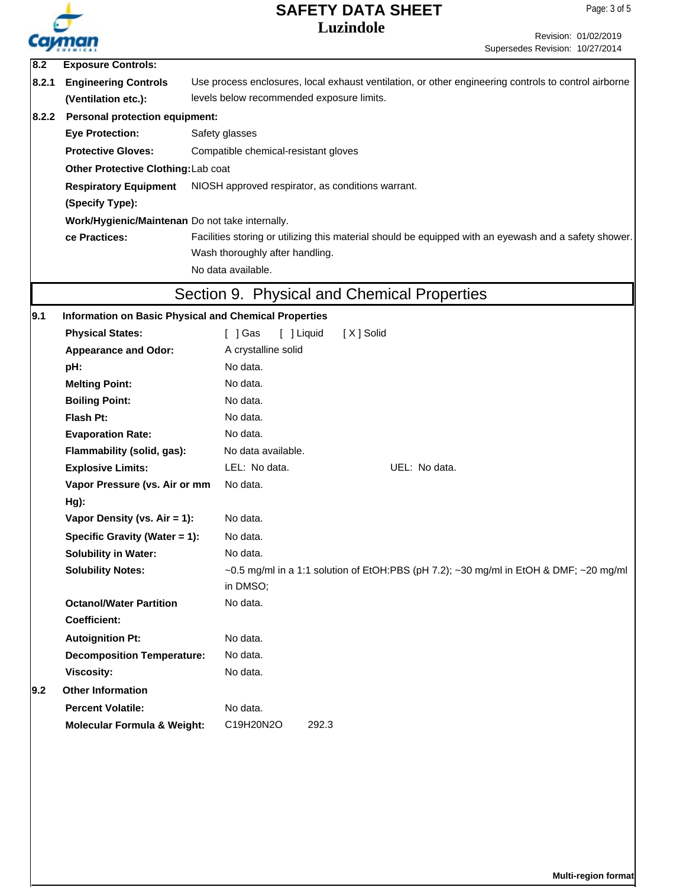

Revision: 01/02/2019 Supersedes Revision: 10/27/2014

| 8.2.1 | <b>Engineering Controls</b>                                  | Use process enclosures, local exhaust ventilation, or other engineering controls to control airborne  |  |  |  |  |
|-------|--------------------------------------------------------------|-------------------------------------------------------------------------------------------------------|--|--|--|--|
|       |                                                              |                                                                                                       |  |  |  |  |
|       | (Ventilation etc.):                                          | levels below recommended exposure limits.                                                             |  |  |  |  |
| 8.2.2 | <b>Personal protection equipment:</b>                        |                                                                                                       |  |  |  |  |
|       | <b>Eye Protection:</b>                                       | Safety glasses                                                                                        |  |  |  |  |
|       | <b>Protective Gloves:</b>                                    | Compatible chemical-resistant gloves                                                                  |  |  |  |  |
|       | Other Protective Clothing: Lab coat                          |                                                                                                       |  |  |  |  |
|       | <b>Respiratory Equipment</b>                                 | NIOSH approved respirator, as conditions warrant.                                                     |  |  |  |  |
|       | (Specify Type):                                              |                                                                                                       |  |  |  |  |
|       | Work/Hygienic/Maintenan Do not take internally.              |                                                                                                       |  |  |  |  |
|       | ce Practices:                                                | Facilities storing or utilizing this material should be equipped with an eyewash and a safety shower. |  |  |  |  |
|       |                                                              | Wash thoroughly after handling.                                                                       |  |  |  |  |
|       |                                                              | No data available.                                                                                    |  |  |  |  |
|       |                                                              | Section 9. Physical and Chemical Properties                                                           |  |  |  |  |
| 9.1   | <b>Information on Basic Physical and Chemical Properties</b> |                                                                                                       |  |  |  |  |
|       | <b>Physical States:</b>                                      | $\lceil$ $\rfloor$ Gas<br>[ ] Liquid<br>[X] Solid                                                     |  |  |  |  |
|       | <b>Appearance and Odor:</b>                                  | A crystalline solid                                                                                   |  |  |  |  |
|       | pH:                                                          | No data.                                                                                              |  |  |  |  |
|       | <b>Melting Point:</b>                                        | No data.                                                                                              |  |  |  |  |
|       | <b>Boiling Point:</b>                                        | No data.                                                                                              |  |  |  |  |
|       | Flash Pt:                                                    | No data.                                                                                              |  |  |  |  |
|       | <b>Evaporation Rate:</b>                                     | No data.                                                                                              |  |  |  |  |
|       | Flammability (solid, gas):                                   | No data available.                                                                                    |  |  |  |  |
|       | <b>Explosive Limits:</b>                                     | LEL: No data.<br>UEL: No data.                                                                        |  |  |  |  |
|       | Vapor Pressure (vs. Air or mm                                | No data.                                                                                              |  |  |  |  |
|       | $Hg$ ):                                                      |                                                                                                       |  |  |  |  |
|       | Vapor Density (vs. Air = 1):                                 | No data.                                                                                              |  |  |  |  |
|       | Specific Gravity (Water = 1):                                | No data.                                                                                              |  |  |  |  |
|       | <b>Solubility in Water:</b>                                  | No data.                                                                                              |  |  |  |  |
|       | <b>Solubility Notes:</b>                                     | ~0.5 mg/ml in a 1:1 solution of EtOH:PBS (pH 7.2); ~30 mg/ml in EtOH & DMF; ~20 mg/ml                 |  |  |  |  |
|       |                                                              | in DMSO;                                                                                              |  |  |  |  |
|       | <b>Octanol/Water Partition</b>                               | No data.                                                                                              |  |  |  |  |
|       | <b>Coefficient:</b>                                          |                                                                                                       |  |  |  |  |
|       | <b>Autoignition Pt:</b>                                      | No data.                                                                                              |  |  |  |  |
|       | <b>Decomposition Temperature:</b>                            | No data.                                                                                              |  |  |  |  |
|       | <b>Viscosity:</b>                                            | No data.                                                                                              |  |  |  |  |
| 9.2   | <b>Other Information</b>                                     |                                                                                                       |  |  |  |  |
|       | <b>Percent Volatile:</b>                                     | No data.                                                                                              |  |  |  |  |
|       | <b>Molecular Formula &amp; Weight:</b>                       | C19H20N2O<br>292.3                                                                                    |  |  |  |  |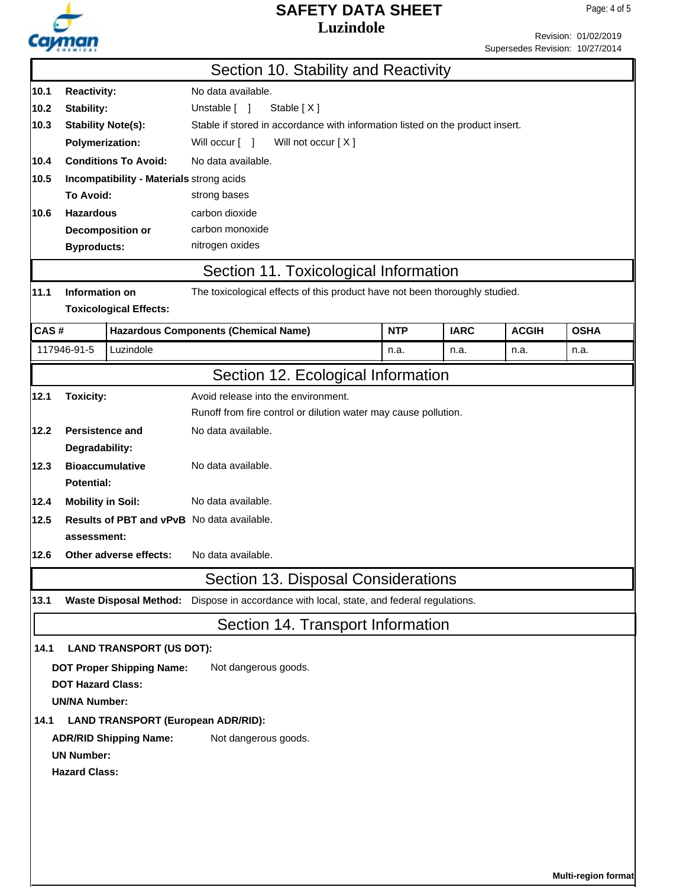

**Multi-region format**

Revision: 01/02/2019 Supersedes Revision: 10/27/2014

|                                                      | <b>CHEMICAL</b>                                   |                                           |                                                                                          |            |             |              | Supersedes Revision: 10/27/2014 |  |  |
|------------------------------------------------------|---------------------------------------------------|-------------------------------------------|------------------------------------------------------------------------------------------|------------|-------------|--------------|---------------------------------|--|--|
|                                                      |                                                   |                                           | Section 10. Stability and Reactivity                                                     |            |             |              |                                 |  |  |
| 10.1                                                 | <b>Reactivity:</b>                                |                                           | No data available.                                                                       |            |             |              |                                 |  |  |
| 10.2                                                 | Stability:                                        |                                           | Unstable [ ]<br>Stable [X]                                                               |            |             |              |                                 |  |  |
| 10.3                                                 | <b>Stability Note(s):</b>                         |                                           | Stable if stored in accordance with information listed on the product insert.            |            |             |              |                                 |  |  |
|                                                      | <b>Polymerization:</b>                            |                                           | Will occur [ ]<br>Will not occur [X]                                                     |            |             |              |                                 |  |  |
| 10.4                                                 | <b>Conditions To Avoid:</b><br>No data available. |                                           |                                                                                          |            |             |              |                                 |  |  |
| 10.5                                                 | Incompatibility - Materials strong acids          |                                           |                                                                                          |            |             |              |                                 |  |  |
|                                                      | strong bases<br>To Avoid:                         |                                           |                                                                                          |            |             |              |                                 |  |  |
| 10.6                                                 | <b>Hazardous</b>                                  |                                           | carbon dioxide                                                                           |            |             |              |                                 |  |  |
|                                                      |                                                   | Decomposition or                          | carbon monoxide                                                                          |            |             |              |                                 |  |  |
|                                                      | <b>Byproducts:</b>                                |                                           | nitrogen oxides                                                                          |            |             |              |                                 |  |  |
|                                                      |                                                   |                                           | Section 11. Toxicological Information                                                    |            |             |              |                                 |  |  |
| 11.1                                                 | Information on                                    |                                           | The toxicological effects of this product have not been thoroughly studied.              |            |             |              |                                 |  |  |
|                                                      |                                                   | <b>Toxicological Effects:</b>             |                                                                                          |            |             |              |                                 |  |  |
| CAS#                                                 |                                                   |                                           | <b>Hazardous Components (Chemical Name)</b>                                              | <b>NTP</b> | <b>IARC</b> | <b>ACGIH</b> | <b>OSHA</b>                     |  |  |
|                                                      | 117946-91-5                                       | Luzindole                                 |                                                                                          | n.a.       | n.a.        | n.a.         | n.a.                            |  |  |
|                                                      |                                                   |                                           |                                                                                          |            |             |              |                                 |  |  |
|                                                      |                                                   |                                           | Section 12. Ecological Information                                                       |            |             |              |                                 |  |  |
| 12.1                                                 | <b>Toxicity:</b>                                  |                                           | Avoid release into the environment.                                                      |            |             |              |                                 |  |  |
|                                                      |                                                   |                                           | Runoff from fire control or dilution water may cause pollution.                          |            |             |              |                                 |  |  |
| 12.2                                                 | No data available.<br><b>Persistence and</b>      |                                           |                                                                                          |            |             |              |                                 |  |  |
|                                                      | Degradability:                                    |                                           |                                                                                          |            |             |              |                                 |  |  |
| <b>Bioaccumulative</b><br>No data available.<br>12.3 |                                                   |                                           |                                                                                          |            |             |              |                                 |  |  |
|                                                      |                                                   | <b>Potential:</b>                         |                                                                                          |            |             |              |                                 |  |  |
| 12.4                                                 | <b>Mobility in Soil:</b><br>No data available.    |                                           |                                                                                          |            |             |              |                                 |  |  |
| 12.5                                                 |                                                   |                                           | <b>Results of PBT and vPvB</b> No data available.                                        |            |             |              |                                 |  |  |
|                                                      | assessment:                                       |                                           |                                                                                          |            |             |              |                                 |  |  |
| 12.6                                                 |                                                   | Other adverse effects:                    | No data available.                                                                       |            |             |              |                                 |  |  |
|                                                      |                                                   |                                           | Section 13. Disposal Considerations                                                      |            |             |              |                                 |  |  |
| 13.1                                                 |                                                   |                                           | Waste Disposal Method: Dispose in accordance with local, state, and federal regulations. |            |             |              |                                 |  |  |
|                                                      |                                                   |                                           | Section 14. Transport Information                                                        |            |             |              |                                 |  |  |
| 14.1                                                 |                                                   | <b>LAND TRANSPORT (US DOT):</b>           |                                                                                          |            |             |              |                                 |  |  |
|                                                      |                                                   | <b>DOT Proper Shipping Name:</b>          | Not dangerous goods.                                                                     |            |             |              |                                 |  |  |
|                                                      | <b>DOT Hazard Class:</b>                          |                                           |                                                                                          |            |             |              |                                 |  |  |
|                                                      | <b>UN/NA Number:</b>                              |                                           |                                                                                          |            |             |              |                                 |  |  |
| 14.1                                                 |                                                   | <b>LAND TRANSPORT (European ADR/RID):</b> |                                                                                          |            |             |              |                                 |  |  |
|                                                      |                                                   | <b>ADR/RID Shipping Name:</b>             | Not dangerous goods.                                                                     |            |             |              |                                 |  |  |
|                                                      | <b>UN Number:</b>                                 |                                           |                                                                                          |            |             |              |                                 |  |  |
|                                                      | <b>Hazard Class:</b>                              |                                           |                                                                                          |            |             |              |                                 |  |  |
|                                                      |                                                   |                                           |                                                                                          |            |             |              |                                 |  |  |
|                                                      |                                                   |                                           |                                                                                          |            |             |              |                                 |  |  |
|                                                      |                                                   |                                           |                                                                                          |            |             |              |                                 |  |  |
|                                                      |                                                   |                                           |                                                                                          |            |             |              |                                 |  |  |
|                                                      |                                                   |                                           |                                                                                          |            |             |              |                                 |  |  |